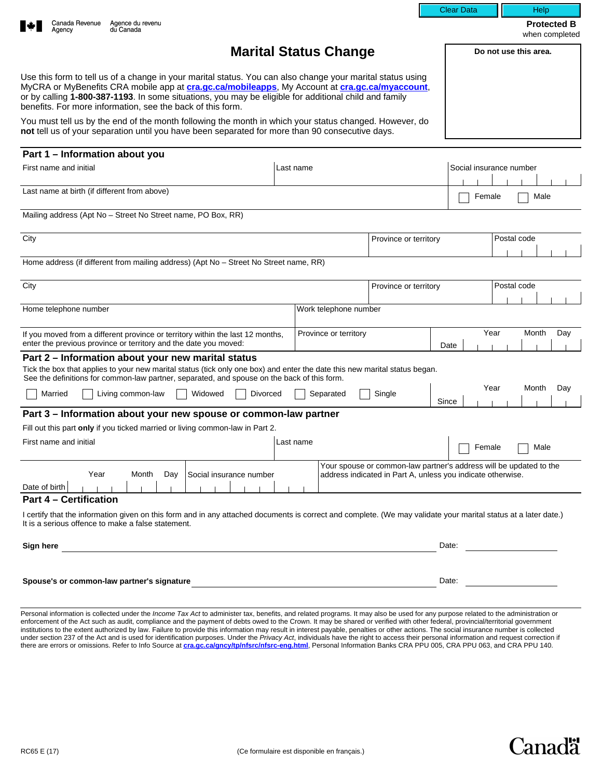|                                                                                                                                                                                                                                                                                                                                                                                     |                                                                                                                                   | <b>Clear Data</b>                    | Help                                 |  |
|-------------------------------------------------------------------------------------------------------------------------------------------------------------------------------------------------------------------------------------------------------------------------------------------------------------------------------------------------------------------------------------|-----------------------------------------------------------------------------------------------------------------------------------|--------------------------------------|--------------------------------------|--|
| Canada Revenue<br>Agence du revenu<br>du Canada<br>Agency                                                                                                                                                                                                                                                                                                                           |                                                                                                                                   |                                      | <b>Protected B</b><br>when completed |  |
| <b>Marital Status Change</b>                                                                                                                                                                                                                                                                                                                                                        |                                                                                                                                   |                                      | Do not use this area.                |  |
| Use this form to tell us of a change in your marital status. You can also change your marital status using<br>MyCRA or MyBenefits CRA mobile app at cra.gc.ca/mobileapps, My Account at cra.gc.ca/myaccount,<br>or by calling 1-800-387-1193. In some situations, you may be eligible for additional child and family<br>benefits. For more information, see the back of this form. |                                                                                                                                   |                                      |                                      |  |
| You must tell us by the end of the month following the month in which your status changed. However, do<br>not tell us of your separation until you have been separated for more than 90 consecutive days.                                                                                                                                                                           |                                                                                                                                   |                                      |                                      |  |
| Part 1 - Information about you                                                                                                                                                                                                                                                                                                                                                      |                                                                                                                                   |                                      |                                      |  |
| Last name<br>First name and initial                                                                                                                                                                                                                                                                                                                                                 |                                                                                                                                   |                                      | Social insurance number              |  |
| Last name at birth (if different from above)                                                                                                                                                                                                                                                                                                                                        |                                                                                                                                   |                                      | Female<br>Male                       |  |
| Mailing address (Apt No - Street No Street name, PO Box, RR)                                                                                                                                                                                                                                                                                                                        |                                                                                                                                   |                                      |                                      |  |
| City<br>Province or territory                                                                                                                                                                                                                                                                                                                                                       |                                                                                                                                   | $\vert \blacktriangledown \vert$     | Postal code                          |  |
| Home address (if different from mailing address) (Apt No - Street No Street name, RR)                                                                                                                                                                                                                                                                                               |                                                                                                                                   |                                      |                                      |  |
| City<br>Province or territory                                                                                                                                                                                                                                                                                                                                                       |                                                                                                                                   | $\vert \blacktriangledown \vert$     | Postal code                          |  |
| Home telephone number                                                                                                                                                                                                                                                                                                                                                               | Work telephone number                                                                                                             |                                      |                                      |  |
| If you moved from a different province or territory within the last 12 months,<br>enter the previous province or territory and the date you moved:                                                                                                                                                                                                                                  | Province or territory                                                                                                             | Year<br>$\blacktriangledown$<br>Date | Month<br>Day                         |  |
| Part 2 – Information about your new marital status<br>Tick the box that applies to your new marital status (tick only one box) and enter the date this new marital status began.<br>See the definitions for common-law partner, separated, and spouse on the back of this form.                                                                                                     |                                                                                                                                   |                                      |                                      |  |
| Widowed<br>Married<br>Living common-law<br>Divorced                                                                                                                                                                                                                                                                                                                                 | Single<br>Separated                                                                                                               | Year<br>Since                        | Month<br>Day                         |  |
| Part 3 – Information about your new spouse or common-law partner                                                                                                                                                                                                                                                                                                                    |                                                                                                                                   |                                      |                                      |  |
| Fill out this part only if you ticked married or living common-law in Part 2.                                                                                                                                                                                                                                                                                                       |                                                                                                                                   |                                      |                                      |  |
| First name and initial<br>Last name                                                                                                                                                                                                                                                                                                                                                 |                                                                                                                                   | $\Box$ Female                        | Male                                 |  |
| Year<br>Month<br>Day<br>Social insurance number<br>Date of birth                                                                                                                                                                                                                                                                                                                    | Your spouse or common-law partner's address will be updated to the<br>address indicated in Part A, unless you indicate otherwise. |                                      |                                      |  |
| <b>Part 4 - Certification</b>                                                                                                                                                                                                                                                                                                                                                       |                                                                                                                                   |                                      |                                      |  |
| I certify that the information given on this form and in any attached documents is correct and complete. (We may validate your marital status at a later date.)<br>It is a serious offence to make a false statement.                                                                                                                                                               |                                                                                                                                   |                                      |                                      |  |
| Sign here                                                                                                                                                                                                                                                                                                                                                                           |                                                                                                                                   | Date:                                |                                      |  |
| Spouse's or common-law partner's signature                                                                                                                                                                                                                                                                                                                                          |                                                                                                                                   | Date:                                |                                      |  |

Personal information is collected under the Income Tax Act to administer tax, benefits, and related programs. It may also be used for any purpose related to the administration or enforcement of the Act such as audit, compliance and the payment of debts owed to the Crown. It may be shared or verified with other federal, provincial/territorial government institutions to the extent authorized by law. Failure to provide this information may result in interest payable, penalties or other actions. The social insurance number is collected<br>under section 237 of the Act and is use there are errors or omissions. Refer to Info Source at **[cra.gc.ca/gncy/tp/nfsrc/nfsrc-eng.html](http://www.cra.gc.ca/gncy/tp/nfsrc/nfsrc-eng.html)**, Personal Information Banks CRA PPU 005, CRA PPU 063, and CRA PPU 140.